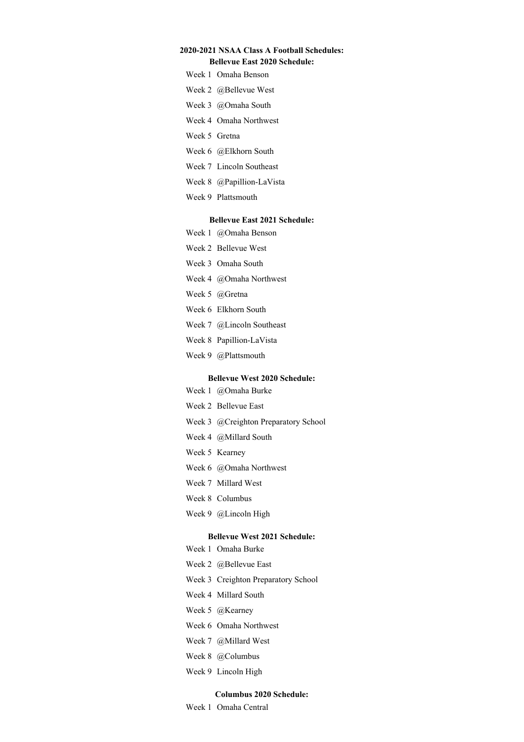# **2020-2021 NSAA Class A Football Schedules:**

# **Bellevue East 2020 Schedule:**

- Week 1 Omaha Benson
- Week 2 @Bellevue West
- Week 3 @Omaha South
- Week 4 Omaha Northwest
- Week 5 Gretna
- Week 6 @Elkhorn South
- Week 7 Lincoln Southeast
- Week 8 @Papillion-LaVista
- Week 9 Plattsmouth

### **Bellevue East 2021 Schedule:**

- Week 1 @Omaha Benson
- Week 2 Bellevue West
- Week 3 Omaha South
- Week 4 @Omaha Northwest
- Week 5 @Gretna
- Week 6 Elkhorn South
- Week 7 @Lincoln Southeast
- Week 8 Papillion-LaVista
- Week 9 @Plattsmouth

#### **Bellevue West 2020 Schedule:**

- Week 1 @Omaha Burke
- Week 2 Bellevue East
- Week 3 @Creighton Preparatory School
- Week 4 @Millard South
- Week 5 Kearney
- Week 6 @Omaha Northwest
- Week 7 Millard West
- Week 8 Columbus
- Week 9 @Lincoln High

#### **Bellevue West 2021 Schedule:**

- Week 1 Omaha Burke
- Week 2 @Bellevue East
- Week 3 Creighton Preparatory School
- Week 4 Millard South
- Week 5 @Kearney
- Week 6 Omaha Northwest
- Week 7 @Millard West
- Week 8 @Columbus
- Week 9 Lincoln High

### **Columbus 2020 Schedule:**

Week 1 Omaha Central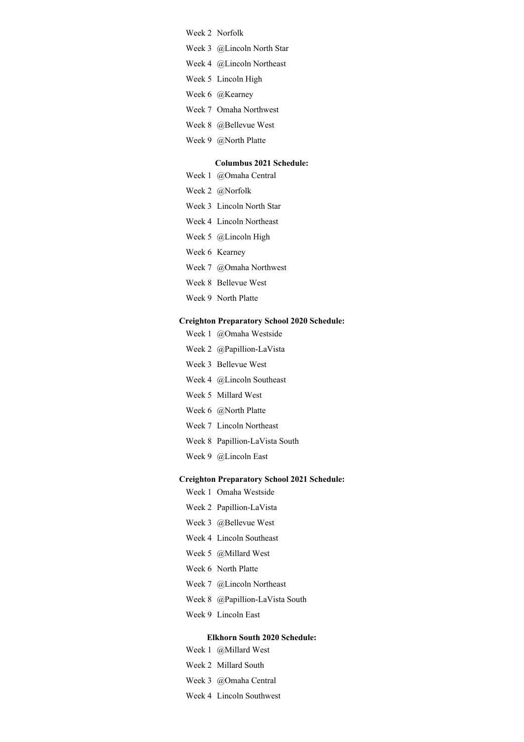Week 2 Norfolk

- Week 3 @Lincoln North Star
- Week 4 @Lincoln Northeast
- Week 5 Lincoln High
- Week 6 @Kearney
- Week 7 Omaha Northwest
- Week 8 @Bellevue West
- Week 9 @North Platte

### **Columbus 2021 Schedule:**

- Week 1 @Omaha Central
- Week 2 @Norfolk
- Week 3 Lincoln North Star
- Week 4 Lincoln Northeast
- Week 5 @Lincoln High
- Week 6 Kearney
- Week 7 @Omaha Northwest
- Week 8 Bellevue West
- Week 9 North Platte

#### **Creighton Preparatory School 2020 Schedule:**

- Week 1 @Omaha Westside
- Week 2 @Papillion-LaVista
- Week 3 Bellevue West
- Week 4 @Lincoln Southeast
- Week 5 Millard West
- Week 6 @North Platte
- Week 7 Lincoln Northeast
- Week 8 Papillion-LaVista South
- Week 9 @Lincoln East

### **Creighton Preparatory School 2021 Schedule:**

- Week 1 Omaha Westside
- Week 2 Papillion-LaVista
- Week 3 @Bellevue West
- Week 4 Lincoln Southeast
- Week 5 @Millard West
- Week 6 North Platte
- Week 7 @Lincoln Northeast
- Week 8 @Papillion-LaVista South
- Week 9 Lincoln East

## **Elkhorn South 2020 Schedule:**

- Week 1 @Millard West
- Week 2 Millard South
- Week 3 @Omaha Central
- Week 4 Lincoln Southwest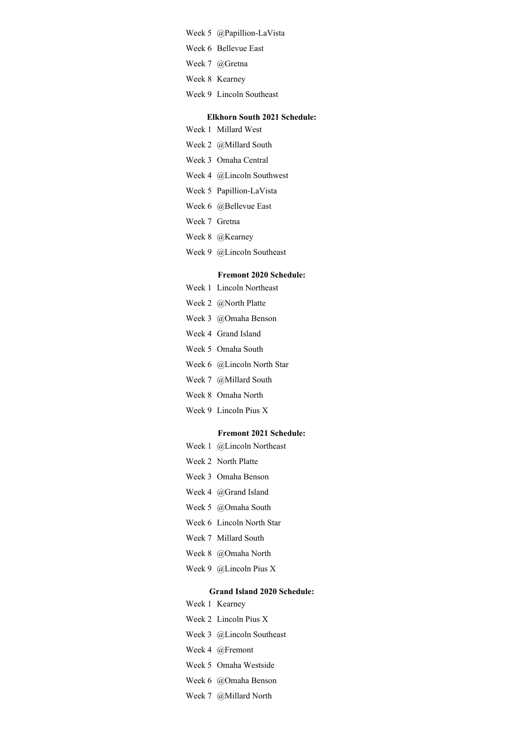- Week 5 @Papillion-LaVista
- Week 6 Bellevue East
- Week 7 @Gretna
- Week 8 Kearney
- Week 9 Lincoln Southeast

### **Elkhorn South 2021 Schedule:**

- Week 1 Millard West
- Week 2 @Millard South
- Week 3 Omaha Central
- Week 4 @Lincoln Southwest
- Week 5 Papillion-LaVista
- Week 6 @Bellevue East
- Week 7 Gretna
- Week 8 @Kearney
- Week 9 @Lincoln Southeast

# **Fremont 2020 Schedule:**

- Week 1 Lincoln Northeast
- Week 2 @North Platte
- Week 3 @Omaha Benson
- Week 4 Grand Island
- Week 5 Omaha South
- Week 6 @Lincoln North Star
- Week 7 @Millard South
- Week 8 Omaha North
- Week 9 Lincoln Pius X

#### **Fremont 2021 Schedule:**

- Week 1 @Lincoln Northeast
- Week 2 North Platte
- Week 3 Omaha Benson
- Week 4 @Grand Island
- Week 5 @Omaha South
- Week 6 Lincoln North Star
- Week 7 Millard South
- Week 8 @Omaha North
- Week 9 @Lincoln Pius X

#### **Grand Island 2020 Schedule:**

- Week 1 Kearney
- Week 2 Lincoln Pius X
- Week 3 @Lincoln Southeast
- Week 4 @Fremont
- Week 5 Omaha Westside
- Week 6 @Omaha Benson
- Week 7 @Millard North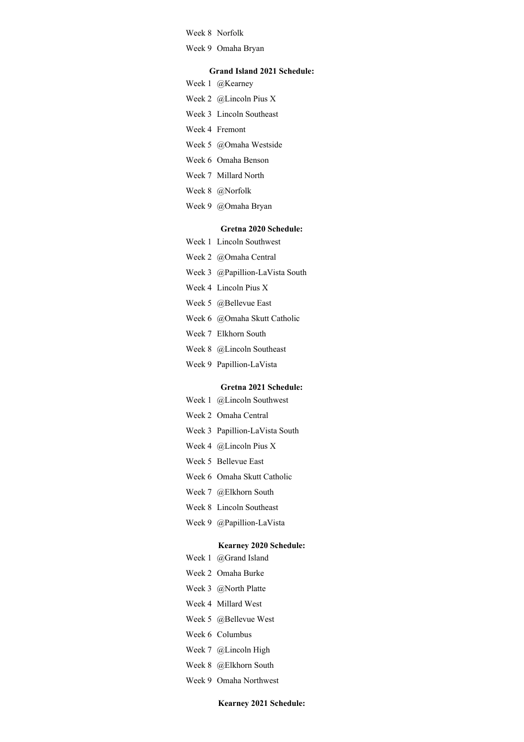Week 8 Norfolk

Week 9 Omaha Bryan

#### **Grand Island 2021 Schedule:**

- Week 1 @Kearney
- Week 2 @Lincoln Pius X
- Week 3 Lincoln Southeast
- Week 4 Fremont
- Week 5 @Omaha Westside
- Week 6 Omaha Benson
- Week 7 Millard North
- Week 8 @Norfolk
- Week 9 @Omaha Bryan

### **Gretna 2020 Schedule:**

- Week 1 Lincoln Southwest
- Week 2 @Omaha Central
- Week 3 @Papillion-LaVista South
- Week 4 Lincoln Pius X
- Week 5 @Bellevue East
- Week 6 @Omaha Skutt Catholic
- Week 7 Elkhorn South
- Week 8 @Lincoln Southeast
- Week 9 Papillion-LaVista

#### **Gretna 2021 Schedule:**

- Week 1 @Lincoln Southwest
- Week 2 Omaha Central
- Week 3 Papillion-LaVista South
- Week 4 @Lincoln Pius X
- Week 5 Bellevue East
- Week 6 Omaha Skutt Catholic
- Week 7 @Elkhorn South
- Week 8 Lincoln Southeast
- Week 9 @Papillion-LaVista

# **Kearney 2020 Schedule:**

- Week 1 @Grand Island
- Week 2 Omaha Burke
- Week 3 @North Platte
- Week 4 Millard West
- Week 5 @Bellevue West
- Week 6 Columbus
- Week 7 @Lincoln High
- Week 8 @Elkhorn South
- Week 9 Omaha Northwest

### **Kearney 2021 Schedule:**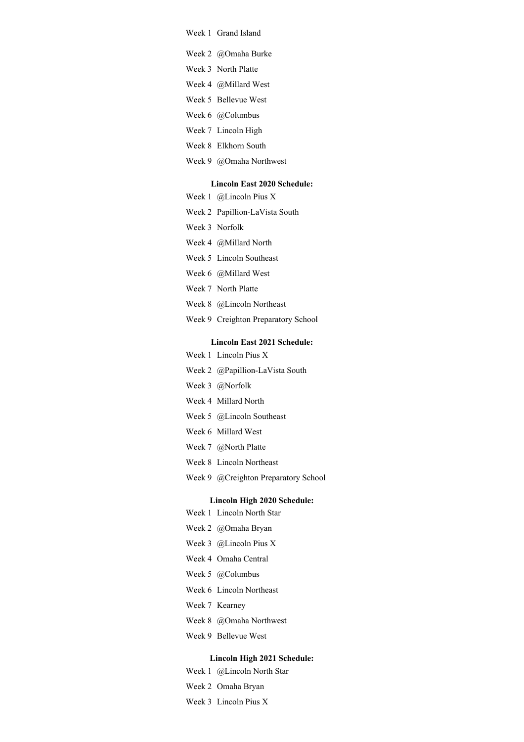- Week 1 Grand Island
- Week 2 @Omaha Burke
- Week 3 North Platte
- Week 4 @Millard West
- Week 5 Bellevue West
- Week 6 @Columbus
- Week 7 Lincoln High
- Week 8 Elkhorn South
- Week 9 @Omaha Northwest

#### **Lincoln East 2020 Schedule:**

- Week 1 @Lincoln Pius X
- Week 2 Papillion-LaVista South
- Week 3 Norfolk
- Week 4 @Millard North
- Week 5 Lincoln Southeast
- Week 6 @Millard West
- Week 7 North Platte
- Week 8 @Lincoln Northeast
- Week 9 Creighton Preparatory School

# **Lincoln East 2021 Schedule:**

- Week 1 Lincoln Pius X
- Week 2 @Papillion-LaVista South
- Week 3 @Norfolk
- Week 4 Millard North
- Week 5 @Lincoln Southeast
- Week 6 Millard West
- Week 7 @North Platte
- Week 8 Lincoln Northeast
- Week 9 @Creighton Preparatory School

#### **Lincoln High 2020 Schedule:**

- Week 1 Lincoln North Star
- Week 2 @Omaha Bryan
- Week 3 @Lincoln Pius X
- Week 4 Omaha Central
- Week 5 @Columbus
- Week 6 Lincoln Northeast
- Week 7 Kearney
- Week 8 @Omaha Northwest
- Week 9 Bellevue West

### **Lincoln High 2021 Schedule:**

- Week 1 @Lincoln North Star
- Week 2 Omaha Bryan
- Week 3 Lincoln Pius X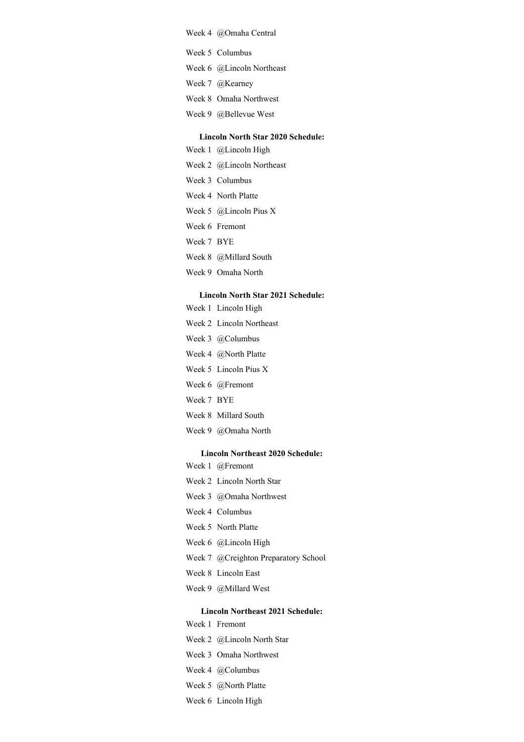### Week 4 @Omaha Central

- Week 5 Columbus
- Week 6 @Lincoln Northeast
- Week 7 @Kearney
- Week 8 Omaha Northwest
- Week 9 @Bellevue West

### **Lincoln North Star 2020 Schedule:**

- Week 1 @Lincoln High
- Week 2 @Lincoln Northeast
- Week 3 Columbus
- Week 4 North Platte
- Week 5 @Lincoln Pius X
- Week 6 Fremont
- Week 7 BYE
- Week 8 @Millard South
- Week 9 Omaha North

# **Lincoln North Star 2021 Schedule:**

- Week 1 Lincoln High
- Week 2 Lincoln Northeast
- Week 3 @Columbus
- Week 4 @North Platte
- Week 5 Lincoln Pius X
- Week 6 @Fremont
- Week 7 BYE
- Week 8 Millard South
- Week 9 @Omaha North

#### **Lincoln Northeast 2020 Schedule:**

- Week 1 @Fremont
- Week 2 Lincoln North Star
- Week 3 @Omaha Northwest
- Week 4 Columbus
- Week 5 North Platte
- Week 6 @Lincoln High
- Week 7 @Creighton Preparatory School
- Week 8 Lincoln East
- Week 9 @Millard West

# **Lincoln Northeast 2021 Schedule:**

- Week 1 Fremont
- Week 2 @Lincoln North Star
- Week 3 Omaha Northwest
- Week 4 @Columbus
- Week 5 @North Platte
- Week 6 Lincoln High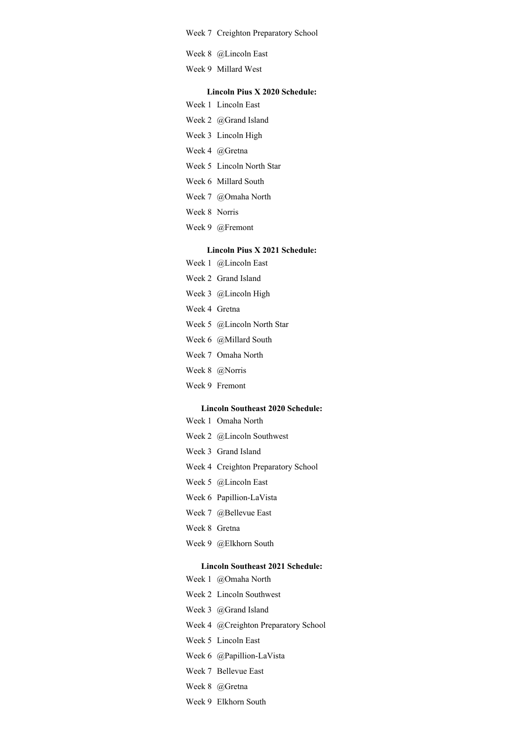Week 7 Creighton Preparatory School

- Week 8 @Lincoln East
- Week 9 Millard West

# **Lincoln Pius X 2020 Schedule:**

- Week 1 Lincoln East
- Week 2 @Grand Island
- Week 3 Lincoln High
- Week 4 @Gretna
- Week 5 Lincoln North Star
- Week 6 Millard South
- Week 7 @Omaha North
- Week 8 Norris
- Week 9 @Fremont

### **Lincoln Pius X 2021 Schedule:**

- Week 1 @Lincoln East
- Week 2 Grand Island
- Week 3 @Lincoln High
- Week 4 Gretna
- Week 5 @Lincoln North Star
- Week 6 @Millard South
- Week 7 Omaha North
- Week 8 @Norris
- Week 9 Fremont

#### **Lincoln Southeast 2020 Schedule:**

- Week 1 Omaha North
- Week 2 @Lincoln Southwest
- Week 3 Grand Island
- Week 4 Creighton Preparatory School
- Week 5 @Lincoln East
- Week 6 Papillion-LaVista
- Week 7 @Bellevue East
- Week 8 Gretna
- Week 9 @Elkhorn South

### **Lincoln Southeast 2021 Schedule:**

- Week 1 @Omaha North
- Week 2 Lincoln Southwest
- Week 3 @Grand Island
- Week 4 @Creighton Preparatory School
- Week 5 Lincoln East
- Week 6 @Papillion-LaVista
- Week 7 Bellevue East
- Week 8 @Gretna
- Week 9 Elkhorn South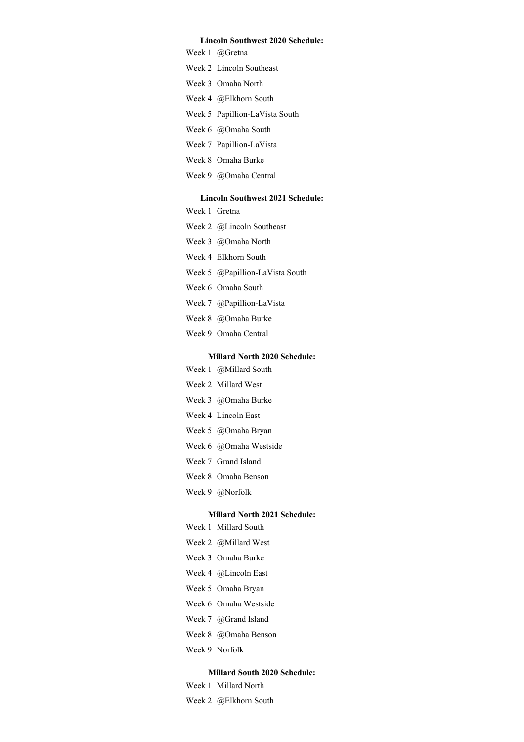### **Lincoln Southwest 2020 Schedule:**

Week 1 @Gretna

- Week 2 Lincoln Southeast
- Week 3 Omaha North
- Week 4 @Elkhorn South
- Week 5 Papillion-LaVista South
- Week 6 @Omaha South
- Week 7 Papillion-LaVista
- Week 8 Omaha Burke
- Week 9 @Omaha Central

# **Lincoln Southwest 2021 Schedule:**

- Week 1 Gretna
- Week 2 @Lincoln Southeast
- Week 3 @Omaha North
- Week 4 Elkhorn South
- Week 5 @Papillion-LaVista South
- Week 6 Omaha South
- Week 7 @Papillion-LaVista
- Week 8 @Omaha Burke
- Week 9 Omaha Central

### **Millard North 2020 Schedule:**

- Week 1 @Millard South
- Week 2 Millard West
- Week 3 @Omaha Burke
- Week 4 Lincoln East
- Week 5 @Omaha Bryan
- Week 6 @Omaha Westside
- Week 7 Grand Island
- Week 8 Omaha Benson
- Week 9 @Norfolk

#### **Millard North 2021 Schedule:**

- Week 1 Millard South
- Week 2 @Millard West
- Week 3 Omaha Burke
- Week 4 @Lincoln East
- Week 5 Omaha Bryan
- Week 6 Omaha Westside
- Week 7 @Grand Island
- Week 8 @Omaha Benson
- Week 9 Norfolk

#### **Millard South 2020 Schedule:**

- Week 1 Millard North
- Week 2 @Elkhorn South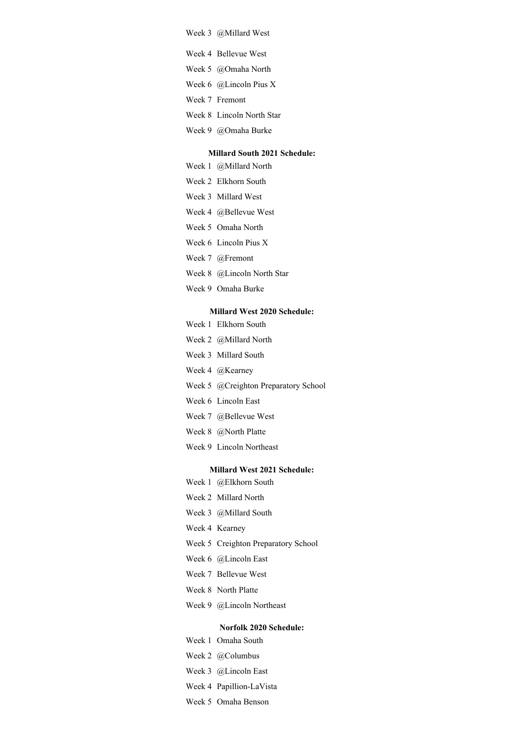Week 3 @Millard West

- Week 4 Bellevue West
- Week 5 @Omaha North
- Week 6 @Lincoln Pius X
- Week 7 Fremont
- Week 8 Lincoln North Star
- Week 9 @Omaha Burke

## **Millard South 2021 Schedule:**

- Week 1 @Millard North
- Week 2 Elkhorn South
- Week 3 Millard West
- Week 4 @Bellevue West
- Week 5 Omaha North
- Week 6 Lincoln Pius X
- Week 7 @Fremont
- Week 8 @Lincoln North Star
- Week 9 Omaha Burke

#### **Millard West 2020 Schedule:**

- Week 1 Elkhorn South
- Week 2 @Millard North
- Week 3 Millard South
- Week 4 @Kearney
- Week 5 @Creighton Preparatory School
- Week 6 Lincoln East
- Week 7 @Bellevue West
- Week 8 @North Platte
- Week 9 Lincoln Northeast

#### **Millard West 2021 Schedule:**

- Week 1 @Elkhorn South
- Week 2 Millard North
- Week 3 @Millard South
- Week 4 Kearney
- Week 5 Creighton Preparatory School
- Week 6 @Lincoln East
- Week 7 Bellevue West
- Week 8 North Platte
- Week 9 @Lincoln Northeast

#### **Norfolk 2020 Schedule:**

- Week 1 Omaha South
- Week 2 @Columbus
- Week 3 @Lincoln East
- Week 4 Papillion-LaVista
- Week 5 Omaha Benson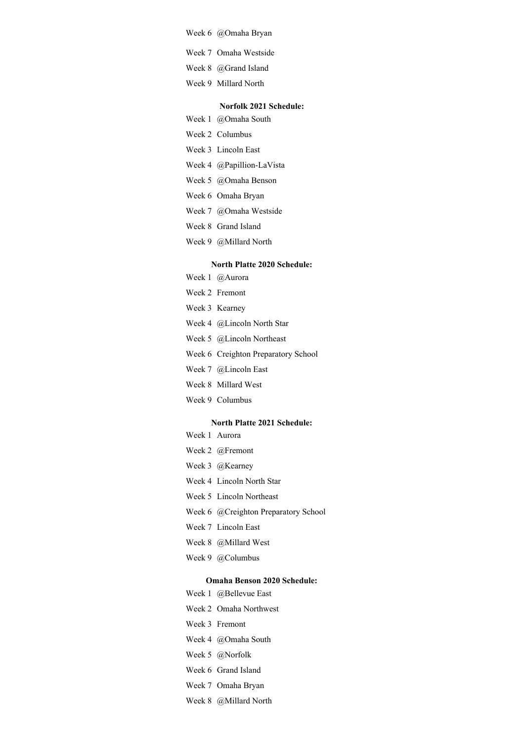- Week 6 @Omaha Bryan
- Week 7 Omaha Westside
- Week 8 @Grand Island
- Week 9 Millard North

### **Norfolk 2021 Schedule:**

- Week 1 @Omaha South
- Week 2 Columbus
- Week 3 Lincoln East
- Week 4 @Papillion-LaVista
- Week 5 @Omaha Benson
- Week 6 Omaha Bryan
- Week 7 @Omaha Westside
- Week 8 Grand Island
- Week 9 @Millard North

### **North Platte 2020 Schedule:**

- Week 1 @Aurora
- Week 2 Fremont
- Week 3 Kearney
- Week 4 @Lincoln North Star
- Week 5 @Lincoln Northeast
- Week 6 Creighton Preparatory School
- Week 7 @Lincoln East
- Week 8 Millard West
- Week 9 Columbus

### **North Platte 2021 Schedule:**

- Week 1 Aurora
- Week 2 @Fremont
- Week 3 @Kearney
- Week 4 Lincoln North Star
- Week 5 Lincoln Northeast
- Week 6 @Creighton Preparatory School
- Week 7 Lincoln East
- Week 8 @Millard West
- Week 9 @Columbus

### **Omaha Benson 2020 Schedule:**

- Week 1 @Bellevue East
- Week 2 Omaha Northwest
- Week 3 Fremont
- Week 4 @Omaha South
- Week 5 @Norfolk
- Week 6 Grand Island
- Week 7 Omaha Bryan
- Week 8 @Millard North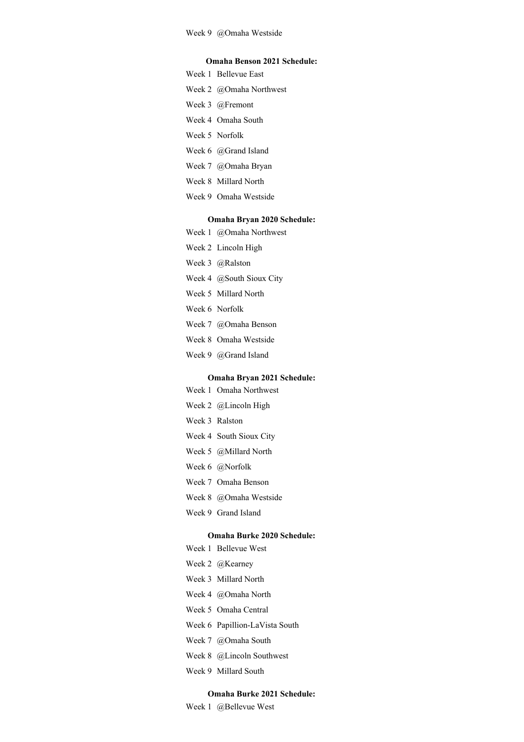#### **Omaha Benson 2021 Schedule:**

Week 1 Bellevue East

- Week 2 @Omaha Northwest
- Week 3 @Fremont
- Week 4 Omaha South
- Week 5 Norfolk
- Week 6 @Grand Island
- Week 7 @Omaha Bryan
- Week 8 Millard North
- Week 9 Omaha Westside

### **Omaha Bryan 2020 Schedule:**

- Week 1 @Omaha Northwest
- Week 2 Lincoln High
- Week 3 @Ralston
- Week 4 @South Sioux City
- Week 5 Millard North
- Week 6 Norfolk
- Week 7 @Omaha Benson
- Week 8 Omaha Westside
- Week 9 @Grand Island

#### **Omaha Bryan 2021 Schedule:**

- Week 1 Omaha Northwest
- Week 2 @Lincoln High
- Week 3 Ralston
- Week 4 South Sioux City
- Week 5 @Millard North
- Week 6 @Norfolk
- Week 7 Omaha Benson
- Week 8 @Omaha Westside
- Week 9 Grand Island

### **Omaha Burke 2020 Schedule:**

- Week 1 Bellevue West
- Week 2 @Kearney
- Week 3 Millard North
- Week 4 @Omaha North
- Week 5 Omaha Central
- Week 6 Papillion-LaVista South
- Week 7 @Omaha South
- Week 8 @Lincoln Southwest
- Week 9 Millard South

## **Omaha Burke 2021 Schedule:**

Week 1 @Bellevue West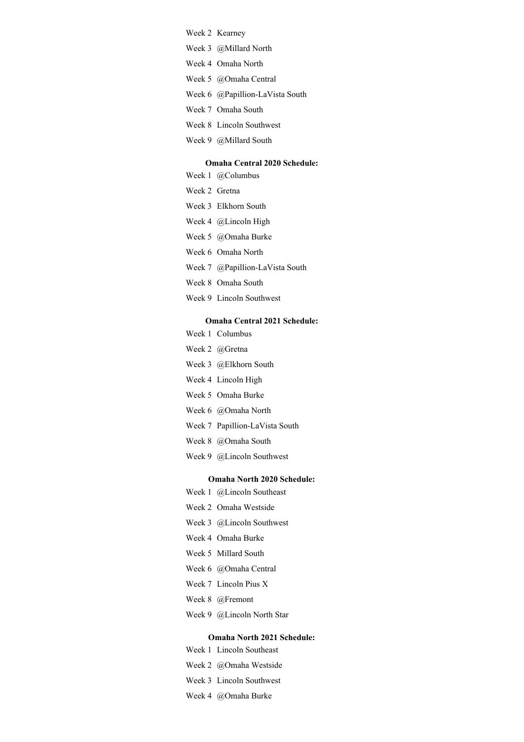## Week 2 Kearney

- Week 3 @Millard North
- Week 4 Omaha North
- Week 5 @Omaha Central
- Week 6 @Papillion-LaVista South
- Week 7 Omaha South
- Week 8 Lincoln Southwest
- Week 9 @Millard South

#### **Omaha Central 2020 Schedule:**

- Week 1 @Columbus
- Week 2 Gretna
- Week 3 Elkhorn South
- Week 4 @Lincoln High
- Week 5 @Omaha Burke
- Week 6 Omaha North
- Week 7 @Papillion-LaVista South
- Week 8 Omaha South
- Week 9 Lincoln Southwest

#### **Omaha Central 2021 Schedule:**

- Week 1 Columbus
- Week 2 @Gretna
- Week 3 @Elkhorn South
- Week 4 Lincoln High
- Week 5 Omaha Burke
- Week 6 @Omaha North
- Week 7 Papillion-LaVista South
- Week 8 @Omaha South
- Week 9 @Lincoln Southwest

### **Omaha North 2020 Schedule:**

- Week 1 @Lincoln Southeast
- Week 2 Omaha Westside
- Week 3 @Lincoln Southwest
- Week 4 Omaha Burke
- Week 5 Millard South
- Week 6 @Omaha Central
- Week 7 Lincoln Pius X
- Week 8 @Fremont
- Week 9 @Lincoln North Star

### **Omaha North 2021 Schedule:**

- Week 1 Lincoln Southeast
- Week 2 @Omaha Westside
- Week 3 Lincoln Southwest
- Week 4 @Omaha Burke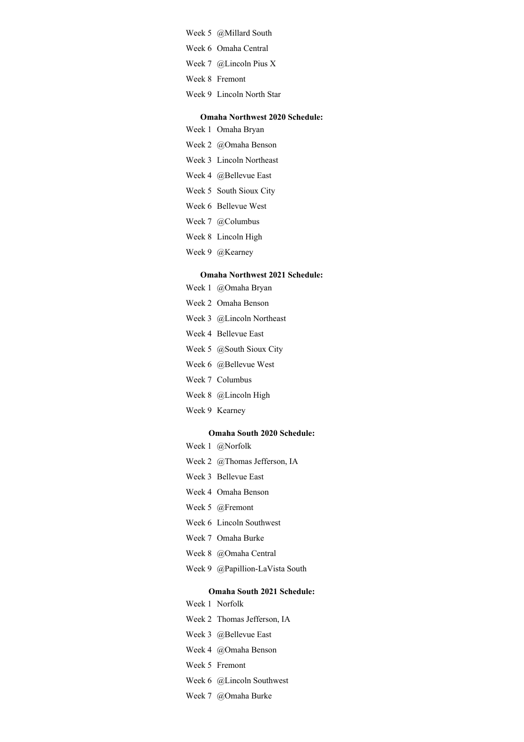- Week 5 @Millard South
- Week 6 Omaha Central
- Week 7 @Lincoln Pius X
- Week 8 Fremont
- Week 9 Lincoln North Star

### **Omaha Northwest 2020 Schedule:**

- Week 1 Omaha Bryan
- Week 2 @Omaha Benson
- Week 3 Lincoln Northeast
- Week 4 @Bellevue East
- Week 5 South Sioux City
- Week 6 Bellevue West
- Week 7 @Columbus
- Week 8 Lincoln High
- Week 9 @Kearney

#### **Omaha Northwest 2021 Schedule:**

- Week 1 @Omaha Bryan
- Week 2 Omaha Benson
- Week 3 @Lincoln Northeast
- Week 4 Bellevue East
- Week 5 @South Sioux City
- Week 6 @Bellevue West
- Week 7 Columbus
- Week 8 @Lincoln High
- Week 9 Kearney

#### **Omaha South 2020 Schedule:**

- Week 1 @Norfolk
- Week 2 @Thomas Jefferson, IA
- Week 3 Bellevue East
- Week 4 Omaha Benson
- Week 5 @Fremont
- Week 6 Lincoln Southwest
- Week 7 Omaha Burke
- Week 8 @Omaha Central
- Week 9 @Papillion-LaVista South

#### **Omaha South 2021 Schedule:**

- Week 1 Norfolk
- Week 2 Thomas Jefferson, IA
- Week 3 @Bellevue East
- Week 4 @Omaha Benson
- Week 5 Fremont
- Week 6 @Lincoln Southwest
- Week 7 @Omaha Burke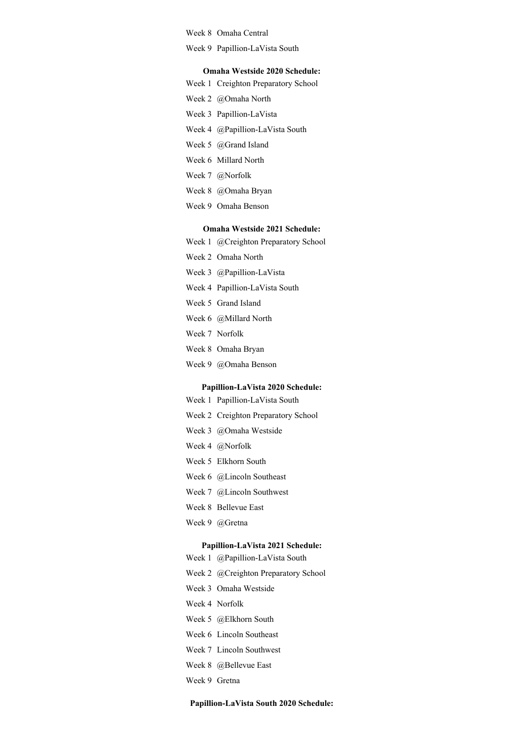Week 8 Omaha Central

Week 9 Papillion-LaVista South

#### **Omaha Westside 2020 Schedule:**

|  |  | Week 1 Creighton Preparatory School |  |
|--|--|-------------------------------------|--|
|--|--|-------------------------------------|--|

- Week 2 @Omaha North
- Week 3 Papillion-LaVista
- Week 4 @Papillion-LaVista South
- Week 5 @Grand Island
- Week 6 Millard North
- Week 7 @Norfolk
- Week 8 @Omaha Bryan
- Week 9 Omaha Benson

# **Omaha Westside 2021 Schedule:**

- Week 1 @Creighton Preparatory School
- Week 2 Omaha North
- Week 3 @Papillion-LaVista
- Week 4 Papillion-LaVista South
- Week 5 Grand Island
- Week 6 @Millard North
- Week 7 Norfolk
- Week 8 Omaha Bryan
- Week 9 @Omaha Benson

#### **Papillion-LaVista 2020 Schedule:**

- Week 1 Papillion-LaVista South
- Week 2 Creighton Preparatory School
- Week 3 @Omaha Westside
- Week 4 @Norfolk
- Week 5 Elkhorn South
- Week 6 @Lincoln Southeast
- Week 7 @Lincoln Southwest
- Week 8 Bellevue East
- Week 9 @Gretna

#### **Papillion-LaVista 2021 Schedule:**

- Week 1 @Papillion-LaVista South
- Week 2 @Creighton Preparatory School
- Week 3 Omaha Westside
- Week 4 Norfolk
- Week 5 @Elkhorn South
- Week 6 Lincoln Southeast
- Week 7 Lincoln Southwest
- Week 8 @Bellevue East
- Week 9 Gretna

### **Papillion-LaVista South 2020 Schedule:**